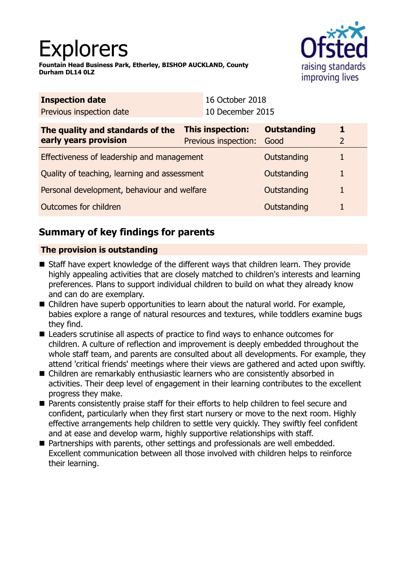# Explorers

**Fountain Head Business Park, Etherley, BISHOP AUCKLAND, County Durham DL14 0LZ**



| <b>Inspection date</b>                                    |                                                 | 16 October 2018  |                            |                     |
|-----------------------------------------------------------|-------------------------------------------------|------------------|----------------------------|---------------------|
| Previous inspection date                                  |                                                 | 10 December 2015 |                            |                     |
| The quality and standards of the<br>early years provision | <b>This inspection:</b><br>Previous inspection: |                  | <b>Outstanding</b><br>Good | 1<br>$\overline{2}$ |
| Effectiveness of leadership and management                |                                                 |                  | Outstanding                |                     |
| Quality of teaching, learning and assessment              |                                                 |                  | Outstanding                | 1                   |
| Personal development, behaviour and welfare               |                                                 |                  | Outstanding                |                     |
| Outcomes for children                                     |                                                 |                  | Outstanding                |                     |

# **Summary of key findings for parents**

## **The provision is outstanding**

- Staff have expert knowledge of the different ways that children learn. They provide highly appealing activities that are closely matched to children's interests and learning preferences. Plans to support individual children to build on what they already know and can do are exemplary.
- $\blacksquare$  Children have superb opportunities to learn about the natural world. For example, babies explore a range of natural resources and textures, while toddlers examine bugs they find.
- Leaders scrutinise all aspects of practice to find ways to enhance outcomes for children. A culture of reflection and improvement is deeply embedded throughout the whole staff team, and parents are consulted about all developments. For example, they attend 'critical friends' meetings where their views are gathered and acted upon swiftly.
- Children are remarkably enthusiastic learners who are consistently absorbed in activities. Their deep level of engagement in their learning contributes to the excellent progress they make.
- Parents consistently praise staff for their efforts to help children to feel secure and confident, particularly when they first start nursery or move to the next room. Highly effective arrangements help children to settle very quickly. They swiftly feel confident and at ease and develop warm, highly supportive relationships with staff.
- Partnerships with parents, other settings and professionals are well embedded. Excellent communication between all those involved with children helps to reinforce their learning.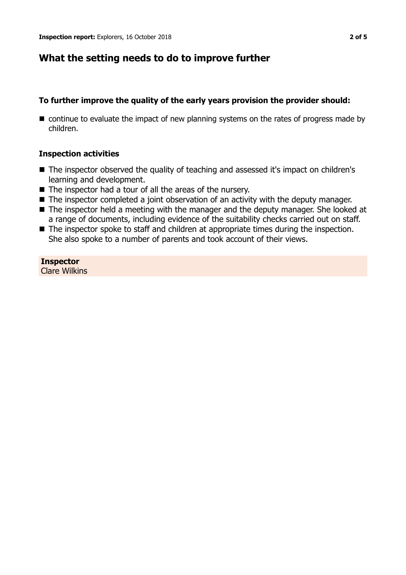## **What the setting needs to do to improve further**

## **To further improve the quality of the early years provision the provider should:**

 $\blacksquare$  continue to evaluate the impact of new planning systems on the rates of progress made by children.

## **Inspection activities**

- The inspector observed the quality of teaching and assessed it's impact on children's learning and development.
- $\blacksquare$  The inspector had a tour of all the areas of the nursery.
- The inspector completed a joint observation of an activity with the deputy manager.
- $\blacksquare$  The inspector held a meeting with the manager and the deputy manager. She looked at a range of documents, including evidence of the suitability checks carried out on staff.
- The inspector spoke to staff and children at appropriate times during the inspection. She also spoke to a number of parents and took account of their views.

**Inspector** Clare Wilkins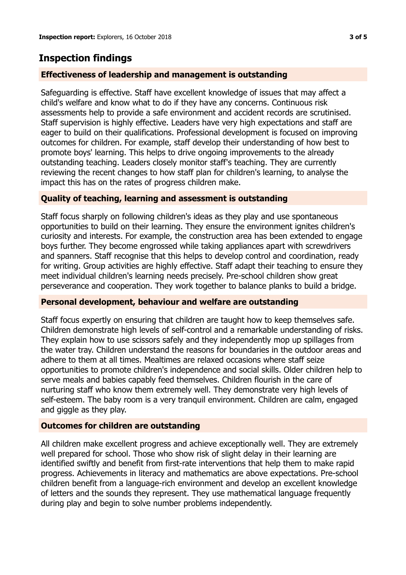# **Inspection findings**

### **Effectiveness of leadership and management is outstanding**

Safeguarding is effective. Staff have excellent knowledge of issues that may affect a child's welfare and know what to do if they have any concerns. Continuous risk assessments help to provide a safe environment and accident records are scrutinised. Staff supervision is highly effective. Leaders have very high expectations and staff are eager to build on their qualifications. Professional development is focused on improving outcomes for children. For example, staff develop their understanding of how best to promote boys' learning. This helps to drive ongoing improvements to the already outstanding teaching. Leaders closely monitor staff's teaching. They are currently reviewing the recent changes to how staff plan for children's learning, to analyse the impact this has on the rates of progress children make.

#### **Quality of teaching, learning and assessment is outstanding**

Staff focus sharply on following children's ideas as they play and use spontaneous opportunities to build on their learning. They ensure the environment ignites children's curiosity and interests. For example, the construction area has been extended to engage boys further. They become engrossed while taking appliances apart with screwdrivers and spanners. Staff recognise that this helps to develop control and coordination, ready for writing. Group activities are highly effective. Staff adapt their teaching to ensure they meet individual children's learning needs precisely. Pre-school children show great perseverance and cooperation. They work together to balance planks to build a bridge.

#### **Personal development, behaviour and welfare are outstanding**

Staff focus expertly on ensuring that children are taught how to keep themselves safe. Children demonstrate high levels of self-control and a remarkable understanding of risks. They explain how to use scissors safely and they independently mop up spillages from the water tray. Children understand the reasons for boundaries in the outdoor areas and adhere to them at all times. Mealtimes are relaxed occasions where staff seize opportunities to promote children's independence and social skills. Older children help to serve meals and babies capably feed themselves. Children flourish in the care of nurturing staff who know them extremely well. They demonstrate very high levels of self-esteem. The baby room is a very tranquil environment. Children are calm, engaged and giggle as they play.

#### **Outcomes for children are outstanding**

All children make excellent progress and achieve exceptionally well. They are extremely well prepared for school. Those who show risk of slight delay in their learning are identified swiftly and benefit from first-rate interventions that help them to make rapid progress. Achievements in literacy and mathematics are above expectations. Pre-school children benefit from a language-rich environment and develop an excellent knowledge of letters and the sounds they represent. They use mathematical language frequently during play and begin to solve number problems independently.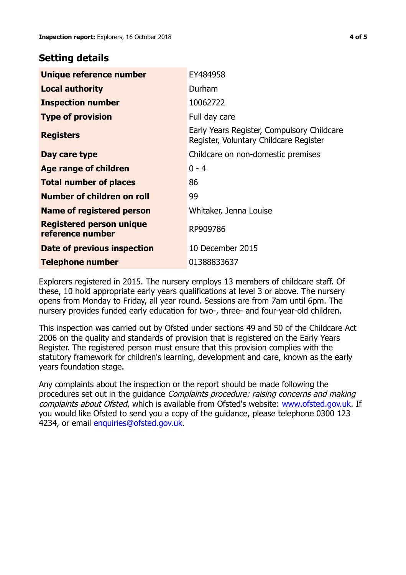## **Setting details**

| Unique reference number                             | EY484958                                                                             |  |
|-----------------------------------------------------|--------------------------------------------------------------------------------------|--|
| <b>Local authority</b>                              | Durham                                                                               |  |
| <b>Inspection number</b>                            | 10062722                                                                             |  |
| <b>Type of provision</b>                            | Full day care                                                                        |  |
| <b>Registers</b>                                    | Early Years Register, Compulsory Childcare<br>Register, Voluntary Childcare Register |  |
| Day care type                                       | Childcare on non-domestic premises                                                   |  |
| <b>Age range of children</b>                        | $0 - 4$                                                                              |  |
| <b>Total number of places</b>                       | 86                                                                                   |  |
| Number of children on roll                          | 99                                                                                   |  |
| Name of registered person                           | Whitaker, Jenna Louise                                                               |  |
| <b>Registered person unique</b><br>reference number | RP909786                                                                             |  |
| Date of previous inspection                         | 10 December 2015                                                                     |  |
| <b>Telephone number</b>                             | 01388833637                                                                          |  |

Explorers registered in 2015. The nursery employs 13 members of childcare staff. Of these, 10 hold appropriate early years qualifications at level 3 or above. The nursery opens from Monday to Friday, all year round. Sessions are from 7am until 6pm. The nursery provides funded early education for two-, three- and four-year-old children.

This inspection was carried out by Ofsted under sections 49 and 50 of the Childcare Act 2006 on the quality and standards of provision that is registered on the Early Years Register. The registered person must ensure that this provision complies with the statutory framework for children's learning, development and care, known as the early years foundation stage.

Any complaints about the inspection or the report should be made following the procedures set out in the guidance Complaints procedure: raising concerns and making complaints about Ofsted, which is available from Ofsted's website: www.ofsted.gov.uk. If you would like Ofsted to send you a copy of the guidance, please telephone 0300 123 4234, or email [enquiries@ofsted.gov.uk.](mailto:enquiries@ofsted.gov.uk)